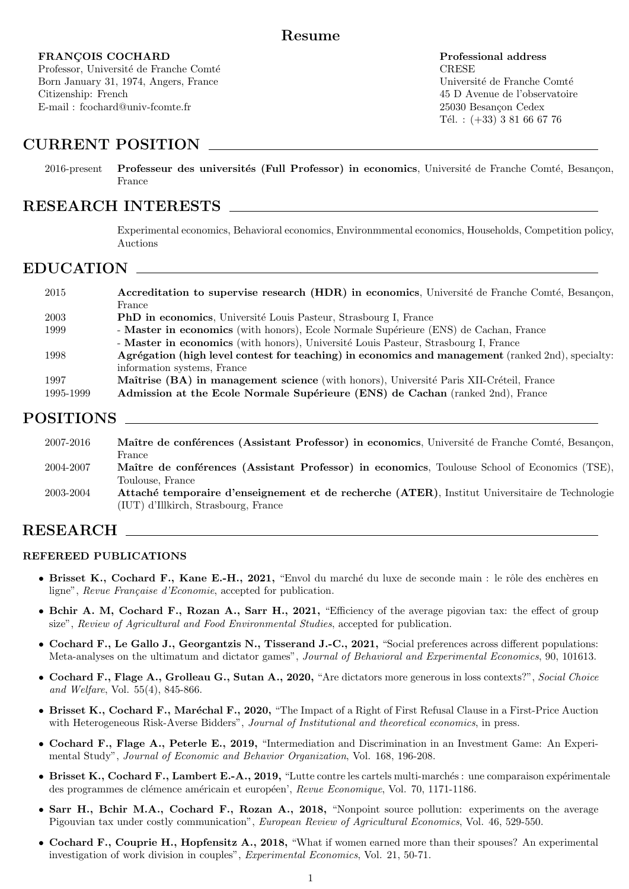## Resume

### FRANÇOIS COCHARD Professional address

Professor, Université de Franche Comté  $CRESE$ Born January 31, 1974, Angers, France Université de Franche Comté Citizenship: French 45 D Avenue de l'observatoire E-mail : fcochard@univ-fcomte.fr 25030 Besancon Cedex

Tél. :  $(+33)$  3 81 66 67 76

# CURRENT POSITION

2016-present Professeur des universités (Full Professor) in economics, Université de Franche Comté, Besançon, France

## RESEARCH INTERESTS

Experimental economics, Behavioral economics, Environmmental economics, Households, Competition policy, Auctions

# EDUCATION

| 2015      | Accreditation to supervise research (HDR) in economics, Université de Franche Comté, Besançon,    |
|-----------|---------------------------------------------------------------------------------------------------|
|           | France                                                                                            |
| 2003      | <b>PhD</b> in economics, Université Louis Pasteur, Strasbourg I, France                           |
| 1999      | - Master in economics (with honors), Ecole Normale Supérieure (ENS) de Cachan, France             |
|           | - Master in economics (with honors), Université Louis Pasteur, Strasbourg I, France               |
| 1998      | Agrégation (high level contest for teaching) in economics and management (ranked 2nd), specialty: |
|           | information systems, France                                                                       |
| 1997      | Maîtrise (BA) in management science (with honors), Université Paris XII-Créteil, France           |
| 1995-1999 | Admission at the Ecole Normale Supérieure (ENS) de Cachan (ranked 2nd), France                    |
|           |                                                                                                   |

# POSITIONS

| 2007-2016 | Maître de conférences (Assistant Professor) in economics, Université de Franche Comté, Besançon, |
|-----------|--------------------------------------------------------------------------------------------------|
|           | France                                                                                           |
| 2004-2007 | Maître de conférences (Assistant Professor) in economics, Toulouse School of Economics (TSE),    |
|           | Toulouse, France                                                                                 |
| 2003-2004 | Attaché temporaire d'enseignement et de recherche (ATER), Institut Universitaire de Technologie  |
|           | (IUT) d'Illkirch, Strasbourg, France                                                             |

# RESEARCH

### REFEREED PUBLICATIONS

- Brisset K., Cochard F., Kane E.-H., 2021, "Envol du marché du luxe de seconde main : le rôle des enchères en ligne", Revue Française d'Economie, accepted for publication.
- Bchir A. M, Cochard F., Rozan A., Sarr H., 2021, "Efficiency of the average pigovian tax: the effect of group size", Review of Agricultural and Food Environmental Studies, accepted for publication.
- Cochard F., Le Gallo J., Georgantzis N., Tisserand J.-C., 2021, "Social preferences across different populations: Meta-analyses on the ultimatum and dictator games", Journal of Behavioral and Experimental Economics, 90, 101613.
- Cochard F., Flage A., Grolleau G., Sutan A., 2020, "Are dictators more generous in loss contexts?", Social Choice and Welfare, Vol. 55(4), 845-866.
- Brisset K., Cochard F., Maréchal F., 2020, "The Impact of a Right of First Refusal Clause in a First-Price Auction with Heterogeneous Risk-Averse Bidders", Journal of Institutional and theoretical economics, in press.
- Cochard F., Flage A., Peterle E., 2019, "Intermediation and Discrimination in an Investment Game: An Experimental Study", Journal of Economic and Behavior Organization, Vol. 168, 196-208.
- Brisset K., Cochard F., Lambert E.-A., 2019, "Lutte contre les cartels multi-marchés : une comparaison expérimentale des programmes de clémence américain et européen', Revue Economique, Vol. 70, 1171-1186.
- Sarr H., Bchir M.A., Cochard F., Rozan A., 2018, "Nonpoint source pollution: experiments on the average Pigouvian tax under costly communication", European Review of Agricultural Economics, Vol. 46, 529-550.
- Cochard F., Couprie H., Hopfensitz A., 2018, "What if women earned more than their spouses? An experimental investigation of work division in couples", Experimental Economics, Vol. 21, 50-71.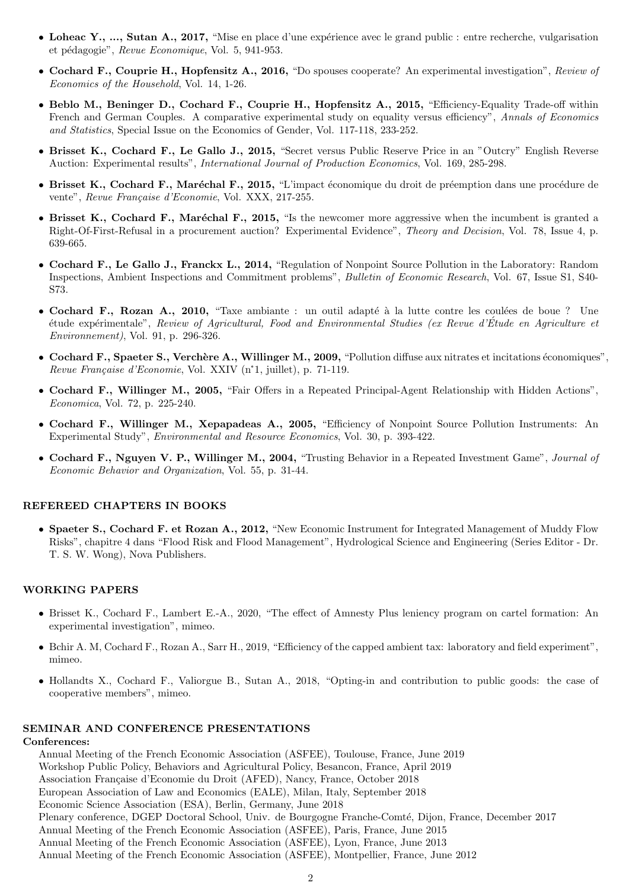- Loheac Y., ..., Sutan A., 2017, "Mise en place d'une expérience avec le grand public : entre recherche, vulgarisation et pédagogie", Revue Economique, Vol. 5, 941-953.
- Cochard F., Couprie H., Hopfensitz A., 2016, "Do spouses cooperate? An experimental investigation", Review of Economics of the Household, Vol. 14, 1-26.
- Beblo M., Beninger D., Cochard F., Couprie H., Hopfensitz A., 2015, "Efficiency-Equality Trade-off within French and German Couples. A comparative experimental study on equality versus efficiency", Annals of Economics and Statistics, Special Issue on the Economics of Gender, Vol. 117-118, 233-252.
- Brisset K., Cochard F., Le Gallo J., 2015, "Secret versus Public Reserve Price in an "Outcry" English Reverse Auction: Experimental results", International Journal of Production Economics, Vol. 169, 285-298.
- Brisset K., Cochard F., Maréchal F., 2015, "L'impact économique du droit de préemption dans une procédure de vente", Revue Française d'Economie, Vol. XXX, 217-255.
- Brisset K., Cochard F., Maréchal F., 2015, "Is the newcomer more aggressive when the incumbent is granted a Right-Of-First-Refusal in a procurement auction? Experimental Evidence", Theory and Decision, Vol. 78, Issue 4, p. 639-665.
- Cochard F., Le Gallo J., Franckx L., 2014, "Regulation of Nonpoint Source Pollution in the Laboratory: Random Inspections, Ambient Inspections and Commitment problems", Bulletin of Economic Research, Vol. 67, Issue S1, S40- S73.
- Cochard F., Rozan A., 2010, "Taxe ambiante : un outil adapté à la lutte contre les coulées de boue ? Une ´etude exp´erimentale", Review of Agricultural, Food and Environmental Studies (ex Revue d'Etude en Agriculture et ´ Environnement), Vol. 91, p. 296-326.
- Cochard F., Spaeter S., Verchère A., Willinger M., 2009, "Pollution diffuse aux nitrates et incitations économiques", Revue Française d'Economie, Vol. XXIV (n°1, juillet), p. 71-119.
- Cochard F., Willinger M., 2005, "Fair Offers in a Repeated Principal-Agent Relationship with Hidden Actions", Economica, Vol. 72, p. 225-240.
- Cochard F., Willinger M., Xepapadeas A., 2005, "Efficiency of Nonpoint Source Pollution Instruments: An Experimental Study", Environmental and Resource Economics, Vol. 30, p. 393-422.
- Cochard F., Nguyen V. P., Willinger M., 2004, "Trusting Behavior in a Repeated Investment Game", Journal of Economic Behavior and Organization, Vol. 55, p. 31-44.

#### REFEREED CHAPTERS IN BOOKS

• Spaeter S., Cochard F. et Rozan A., 2012, "New Economic Instrument for Integrated Management of Muddy Flow Risks", chapitre 4 dans "Flood Risk and Flood Management", Hydrological Science and Engineering (Series Editor - Dr. T. S. W. Wong), Nova Publishers.

### WORKING PAPERS

- Brisset K., Cochard F., Lambert E.-A., 2020, "The effect of Amnesty Plus leniency program on cartel formation: An experimental investigation", mimeo.
- Bchir A. M, Cochard F., Rozan A., Sarr H., 2019, "Efficiency of the capped ambient tax: laboratory and field experiment", mimeo.
- Hollandts X., Cochard F., Valiorgue B., Sutan A., 2018, "Opting-in and contribution to public goods: the case of cooperative members", mimeo.

#### SEMINAR AND CONFERENCE PRESENTATIONS

### Conferences:

Annual Meeting of the French Economic Association (ASFEE), Toulouse, France, June 2019 Workshop Public Policy, Behaviors and Agricultural Policy, Besancon, France, April 2019 Association Française d'Economie du Droit (AFED), Nancy, France, October 2018 European Association of Law and Economics (EALE), Milan, Italy, September 2018 Economic Science Association (ESA), Berlin, Germany, June 2018 Plenary conference, DGEP Doctoral School, Univ. de Bourgogne Franche-Comté, Dijon, France, December 2017 Annual Meeting of the French Economic Association (ASFEE), Paris, France, June 2015 Annual Meeting of the French Economic Association (ASFEE), Lyon, France, June 2013 Annual Meeting of the French Economic Association (ASFEE), Montpellier, France, June 2012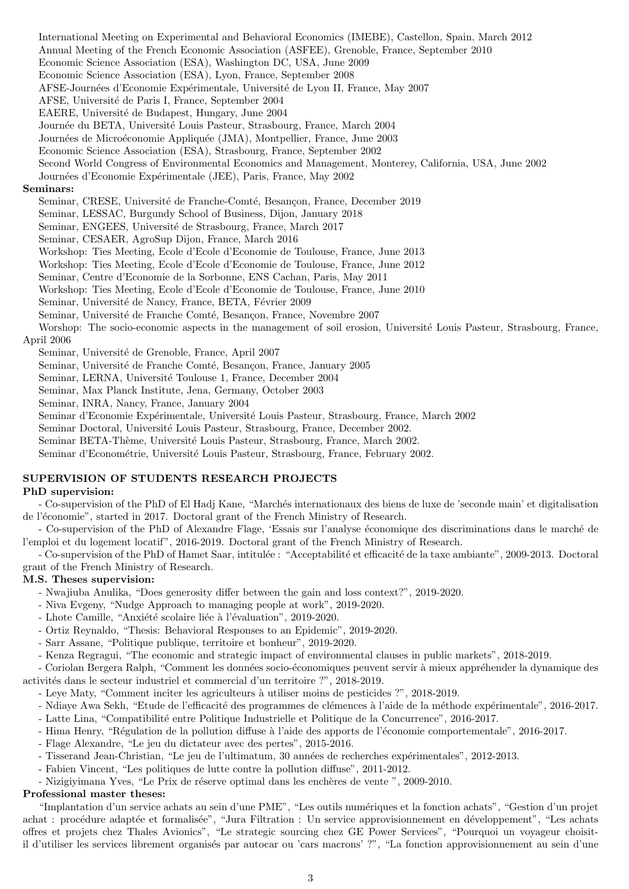International Meeting on Experimental and Behavioral Economics (IMEBE), Castellon, Spain, March 2012 Annual Meeting of the French Economic Association (ASFEE), Grenoble, France, September 2010 Economic Science Association (ESA), Washington DC, USA, June 2009 Economic Science Association (ESA), Lyon, France, September 2008 AFSE-Journées d'Economie Expérimentale, Université de Lyon II, France, May 2007 AFSE, Université de Paris I, France, September 2004 EAERE, Universit´e de Budapest, Hungary, June 2004 Journée du BETA, Université Louis Pasteur, Strasbourg, France, March 2004 Journées de Microéconomie Appliquée (JMA), Montpellier, France, June 2003 Economic Science Association (ESA), Strasbourg, France, September 2002 Second World Congress of Environmental Economics and Management, Monterey, California, USA, June 2002 Journées d'Economie Expérimentale (JEE), Paris, France, May 2002 Seminar, CRESE, Université de Franche-Comté, Besançon, France, December 2019 Seminar, LESSAC, Burgundy School of Business, Dijon, January 2018

### Seminars:

Seminar, ENGEES, Université de Strasbourg, France, March 2017

Seminar, CESAER, AgroSup Dijon, France, March 2016

Workshop: Ties Meeting, Ecole d'Ecole d'Economie de Toulouse, France, June 2013

Workshop: Ties Meeting, Ecole d'Ecole d'Economie de Toulouse, France, June 2012

Seminar, Centre d'Economie de la Sorbonne, ENS Cachan, Paris, May 2011

Workshop: Ties Meeting, Ecole d'Ecole d'Economie de Toulouse, France, June 2010

Seminar, Université de Nancy, France, BETA, Février 2009

Seminar, Université de Franche Comté, Besançon, France, Novembre 2007

Worshop: The socio-economic aspects in the management of soil erosion, Université Louis Pasteur, Strasbourg, France,

### April 2006

Seminar, Université de Grenoble, France, April 2007

Seminar, Université de Franche Comté, Besançon, France, January 2005

Seminar, LERNA, Université Toulouse 1, France, December 2004

Seminar, Max Planck Institute, Jena, Germany, October 2003

Seminar, INRA, Nancy, France, January 2004

Seminar d'Economie Expérimentale, Université Louis Pasteur, Strasbourg, France, March 2002

Seminar Doctoral, Université Louis Pasteur, Strasbourg, France, December 2002.

Seminar BETA-Thème, Université Louis Pasteur, Strasbourg, France, March 2002.

Seminar d'Econométrie, Université Louis Pasteur, Strasbourg, France, February 2002.

### SUPERVISION OF STUDENTS RESEARCH PROJECTS

### PhD supervision:

- Co-supervision of the PhD of El Hadj Kane, "Marchés internationaux des biens de luxe de 'seconde main' et digitalisation de l'économie", started in 2017. Doctoral grant of the French Ministry of Research.

- Co-supervision of the PhD of Alexandre Flage, 'Essais sur l'analyse économique des discriminations dans le marché de l'emploi et du logement locatif", 2016-2019. Doctoral grant of the French Ministry of Research.

- Co-supervision of the PhD of Hamet Saar, intitulée : "Acceptabilité et efficacité de la taxe ambiante", 2009-2013. Doctoral grant of the French Ministry of Research.

#### M.S. Theses supervision:

- Nwajiuba Anulika, "Does generosity differ between the gain and loss context?", 2019-2020.
- Niva Evgeny, "Nudge Approach to managing people at work", 2019-2020.
- Lhote Camille, "Anxiété scolaire liée à l'évaluation", 2019-2020.
- Ortiz Reynaldo, "Thesis: Behavioral Responses to an Epidemic", 2019-2020.
- Sarr Assane, "Politique publique, territoire et bonheur", 2019-2020.
- Kenza Regragui, "The economic and strategic impact of environmental clauses in public markets", 2018-2019.

- Coriolan Bergera Ralph, "Comment les données socio-économiques peuvent servir à mieux appréhender la dynamique des activités dans le secteur industriel et commercial d'un territoire ?", 2018-2019.

- Leye Maty, "Comment inciter les agriculteurs à utiliser moins de pesticides ?", 2018-2019.
- Ndiaye Awa Sekh, "Etude de l'efficacité des programmes de clémences à l'aide de la méthode expérimentale", 2016-2017.
- Latte Lina, "Compatibilité entre Politique Industrielle et Politique de la Concurrence", 2016-2017.
- Hima Henry, "Régulation de la pollution diffuse à l'aide des apports de l'économie comportementale", 2016-2017.
- Flage Alexandre, "Le jeu du dictateur avec des pertes", 2015-2016.
- Tisserand Jean-Christian, "Le jeu de l'ultimatum, 30 années de recherches expérimentales", 2012-2013.
- Fabien Vincent, "Les politiques de lutte contre la pollution diffuse", 2011-2012.
- Nizigiyimana Yves, "Le Prix de réserve optimal dans les enchères de vente ", 2009-2010.

#### Professional master theses:

"Implantation d'un service achats au sein d'une PME", "Les outils numériques et la fonction achats", "Gestion d'un projet achat : procédure adaptée et formalisée", "Jura Filtration : Un service approvisionnement en développement", "Les achats offres et projets chez Thales Avionics", "Le strategic sourcing chez GE Power Services", "Pourquoi un voyageur choisitil d'utiliser les services librement organisés par autocar ou 'cars macrons' ?", "La fonction approvisionnement au sein d'une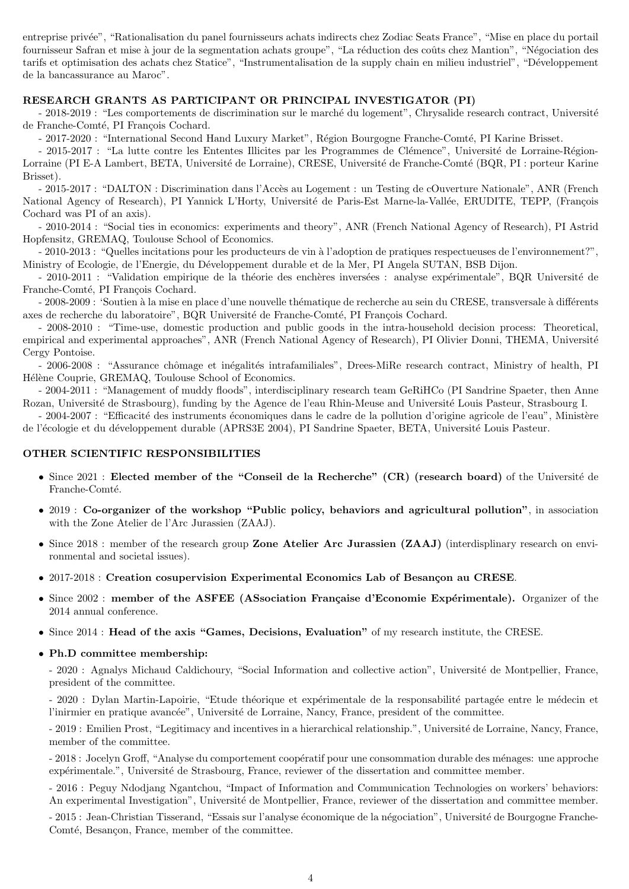entreprise privée", "Rationalisation du panel fournisseurs achats indirects chez Zodiac Seats France", "Mise en place du portail fournisseur Safran et mise à jour de la segmentation achats groupe", "La réduction des coûts chez Mantion", "Négociation des tarifs et optimisation des achats chez Statice", "Instrumentalisation de la supply chain en milieu industriel", "Développement de la bancassurance au Maroc".

### RESEARCH GRANTS AS PARTICIPANT OR PRINCIPAL INVESTIGATOR (PI)

- 2018-2019 : "Les comportements de discrimination sur le marché du logement", Chrysalide research contract, Université de Franche-Comté, PI François Cochard.

- 2017-2020 : "International Second Hand Luxury Market", Région Bourgogne Franche-Comté, PI Karine Brisset.

- 2015-2017 : "La lutte contre les Ententes Illicites par les Programmes de Clémence", Université de Lorraine-Région-Lorraine (PI E-A Lambert, BETA, Université de Lorraine), CRESE, Université de Franche-Comté (BQR, PI : porteur Karine Brisset).

- 2015-2017 : "DALTON : Discrimination dans l'Accès au Logement : un Testing de cOuverture Nationale", ANR (French National Agency of Research), PI Yannick L'Horty, Université de Paris-Est Marne-la-Vallée, ERUDITE, TEPP, (François Cochard was PI of an axis).

- 2010-2014 : "Social ties in economics: experiments and theory", ANR (French National Agency of Research), PI Astrid Hopfensitz, GREMAQ, Toulouse School of Economics.

- 2010-2013 : "Quelles incitations pour les producteurs de vin à l'adoption de pratiques respectueuses de l'environnement?", Ministry of Ecologie, de l'Energie, du Développement durable et de la Mer, PI Angela SUTAN, BSB Dijon.

- 2010-2011 : "Validation empirique de la théorie des enchères inversées : analyse expérimentale", BQR Université de Franche-Comté, PI François Cochard.

- 2008-2009 : 'Soutien à la mise en place d'une nouvelle thématique de recherche au sein du CRESE, transversale à différents axes de recherche du laboratoire", BQR Université de Franche-Comté, PI François Cochard.

- 2008-2010 : "Time-use, domestic production and public goods in the intra-household decision process: Theoretical, empirical and experimental approaches", ANR (French National Agency of Research), PI Olivier Donni, THEMA, Université Cergy Pontoise.

- 2006-2008 : "Assurance chômage et inégalités intrafamiliales", Drees-MiRe research contract, Ministry of health, PI Hélène Couprie, GREMAQ, Toulouse School of Economics.

- 2004-2011 : "Management of muddy floods", interdisciplinary research team GeRiHCo (PI Sandrine Spaeter, then Anne Rozan, Université de Strasbourg), funding by the Agence de l'eau Rhin-Meuse and Université Louis Pasteur, Strasbourg I.

- 2004-2007 : "Efficacité des instruments économiques dans le cadre de la pollution d'origine agricole de l'eau", Ministère de l'écologie et du développement durable (APRS3E 2004), PI Sandrine Spaeter, BETA, Université Louis Pasteur.

### OTHER SCIENTIFIC RESPONSIBILITIES

- Since 2021 : Elected member of the "Conseil de la Recherche" (CR) (research board) of the Université de Franche-Comté.
- 2019 : Co-organizer of the workshop "Public policy, behaviors and agricultural pollution", in association with the Zone Atelier de l'Arc Jurassien (ZAAJ).
- Since 2018 : member of the research group Zone Atelier Arc Jurassien (ZAAJ) (interdisplinary research on environmental and societal issues).
- 2017-2018 : Creation cosupervision Experimental Economics Lab of Besançon au CRESE.
- Since  $2002$ : member of the ASFEE (ASsociation Française d'Economie Expérimentale). Organizer of the 2014 annual conference.
- Since 2014 : Head of the axis "Games, Decisions, Evaluation" of my research institute, the CRESE.
- Ph.D committee membership:

- 2020 : Agnalys Michaud Caldichoury, "Social Information and collective action", Université de Montpellier, France, president of the committee.

- 2020 : Dylan Martin-Lapoirie, "Etude théorique et expérimentale de la responsabilité partagée entre le médecin et l'inirmier en pratique avancée", Université de Lorraine, Nancy, France, president of the committee.

- 2019 : Emilien Prost, "Legitimacy and incentives in a hierarchical relationship.", Université de Lorraine, Nancy, France, member of the committee.

- 2018 : Jocelyn Groff, "Analyse du comportement coopératif pour une consommation durable des ménages: une approche expérimentale.", Université de Strasbourg, France, reviewer of the dissertation and committee member.

- 2016 : Peguy Ndodjang Ngantchou, "Impact of Information and Communication Technologies on workers' behaviors: An experimental Investigation", Université de Montpellier, France, reviewer of the dissertation and committee member.

- 2015 : Jean-Christian Tisserand, "Essais sur l'analyse économique de la négociation", Université de Bourgogne Franche-Comté, Besançon, France, member of the committee.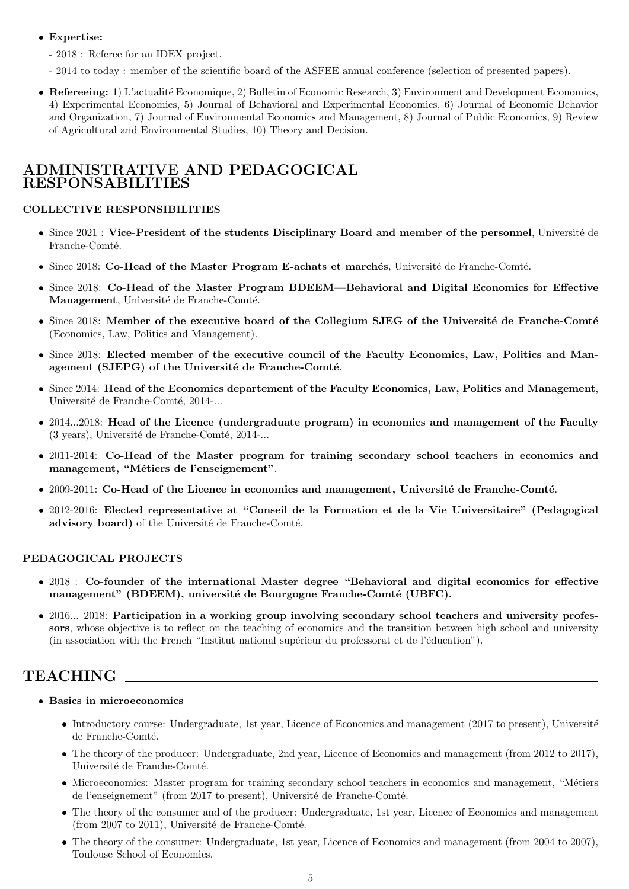- Expertise:
	- 2018 : Referee for an IDEX project.
	- 2014 to today : member of the scientific board of the ASFEE annual conference (selection of presented papers).
- Refereeing: 1) L'actualité Economique, 2) Bulletin of Economic Research, 3) Environment and Development Economics, 4) Experimental Economics, 5) Journal of Behavioral and Experimental Economics, 6) Journal of Economic Behavior and Organization, 7) Journal of Environmental Economics and Management, 8) Journal of Public Economics, 9) Review of Agricultural and Environmental Studies, 10) Theory and Decision.

## ADMINISTRATIVE AND PEDAGOGICAL RESPONSABILITIES

### COLLECTIVE RESPONSIBILITIES

- Since 2021 : Vice-President of the students Disciplinary Board and member of the personnel, Université de Franche-Comté.
- Since 2018: Co-Head of the Master Program E-achats et marchés, Université de Franche-Comté.
- Since 2018: Co-Head of the Master Program BDEEM—Behavioral and Digital Economics for Effective Management, Université de Franche-Comté.
- Since 2018: Member of the executive board of the Collegium SJEG of the Université de Franche-Comté (Economics, Law, Politics and Management).
- Since 2018: Elected member of the executive council of the Faculty Economics, Law, Politics and Management (SJEPG) of the Université de Franche-Comté.
- Since 2014: Head of the Economics departement of the Faculty Economics, Law, Politics and Management, Université de Franche-Comté, 2014-...
- 2014...2018: Head of the Licence (undergraduate program) in economics and management of the Faculty  $(3 \text{ years})$ , Université de Franche-Comté, 2014-...
- 2011-2014: Co-Head of the Master program for training secondary school teachers in economics and management, "Métiers de l'enseignement".
- $2009-2011$ : Co-Head of the Licence in economics and management, Université de Franche-Comté.
- 2012-2016: Elected representative at "Conseil de la Formation et de la Vie Universitaire" (Pedagogical advisory board) of the Université de Franche-Comté.

### PEDAGOGICAL PROJECTS

- 2018 : Co-founder of the international Master degree "Behavioral and digital economics for effective management" (BDEEM), université de Bourgogne Franche-Comté (UBFC).
- 2016... 2018: Participation in a working group involving secondary school teachers and university professors, whose objective is to reflect on the teaching of economics and the transition between high school and university (in association with the French "Institut national supérieur du professorat et de l'éducation").

# TEACHING

- Basics in microeconomics
	- Introductory course: Undergraduate, 1st year, Licence of Economics and management (2017 to present), Université de Franche-Comté.
	- The theory of the producer: Undergraduate, 2nd year, Licence of Economics and management (from 2012 to 2017), Université de Franche-Comté.
	- Microeconomics: Master program for training secondary school teachers in economics and management, "Métiers" de l'enseignement" (from 2017 to present), Université de Franche-Comté.
	- The theory of the consumer and of the producer: Undergraduate, 1st year, Licence of Economics and management (from 2007 to 2011), Université de Franche-Comté.
	- The theory of the consumer: Undergraduate, 1st year, Licence of Economics and management (from 2004 to 2007), Toulouse School of Economics.